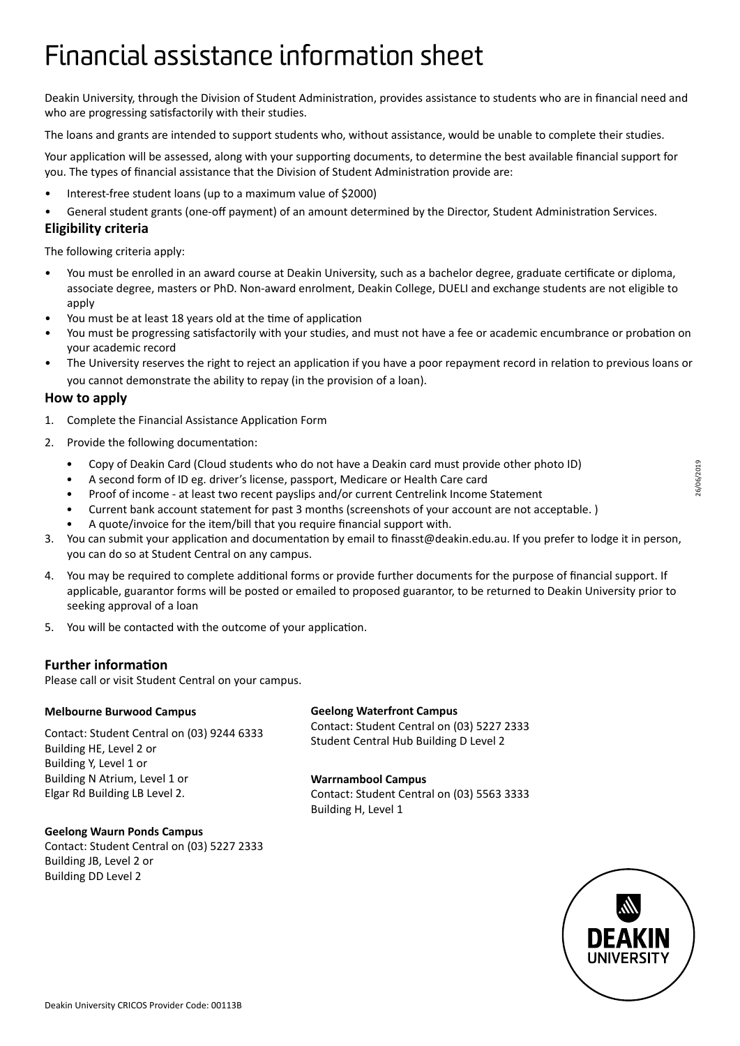## Financial assistance information sheet

Deakin University, through the Division of Student Administration, provides assistance to students who are in financial need and who are progressing satisfactorily with their studies.

The loans and grants are intended to support students who, without assistance, would be unable to complete their studies.

Your application will be assessed, along with your supporting documents, to determine the best available financial support for you. The types of financial assistance that the Division of Student Administration provide are:

- Interest-free student loans (up to a maximum value of \$2000)
- General student grants (one-off payment) of an amount determined by the Director, Student Administration Services.

#### **Eligibility criteria**

The following criteria apply:

- You must be enrolled in an award course at Deakin University, such as a bachelor degree, graduate certificate or diploma, associate degree, masters or PhD. Non-award enrolment, Deakin College, DUELI and exchange students are not eligible to apply
- You must be at least 18 years old at the time of application
- You must be progressing satisfactorily with your studies, and must not have a fee or academic encumbrance or probation on your academic record
- The University reserves the right to reject an application if you have a poor repayment record in relation to previous loans or you cannot demonstrate the ability to repay (in the provision of a loan).

#### **How to apply**

- 1. Complete the Financial Assistance Application Form
- 2. Provide the following documentation:
	- Copy of Deakin Card (Cloud students who do not have a Deakin card must provide other photo ID)
	- A second form of ID eg. driver's license, passport, Medicare or Health Care card
	- Proof of income at least two recent payslips and/or current Centrelink Income Statement
	- Current bank account statement for past 3 months (screenshots of your account are not acceptable. )
	- A quote/invoice for the item/bill that you require financial support with.
- 3. You can submit your application and documentation by email to finasst@deakin.edu.au. If you prefer to lodge it in person, you can do so at Student Central on any campus.
- 4. You may be required to complete additional forms or provide further documents for the purpose of financial support. If applicable, guarantor forms will be posted or emailed to proposed guarantor, to be returned to Deakin University prior to seeking approval of a loan
- 5. You will be contacted with the outcome of your application.

#### **Further information**

Please call or visit Student Central on your campus.

#### **Melbourne Burwood Campus**

**Geelong Waurn Ponds Campus**

Building JB, Level 2 or Building DD Level 2

Contact: Student Central on (03) 9244 6333 Building HE, Level 2 or Building Y, Level 1 or Building N Atrium, Level 1 or Elgar Rd Building LB Level 2.

Contact: Student Central on (03) 5227 2333

#### **Geelong Waterfront Campus**

Contact: Student Central on (03) 5227 2333 Student Central Hub Building D Level 2

#### **Warrnambool Campus**

Contact: Student Central on (03) 5563 3333 Building H, Level 1

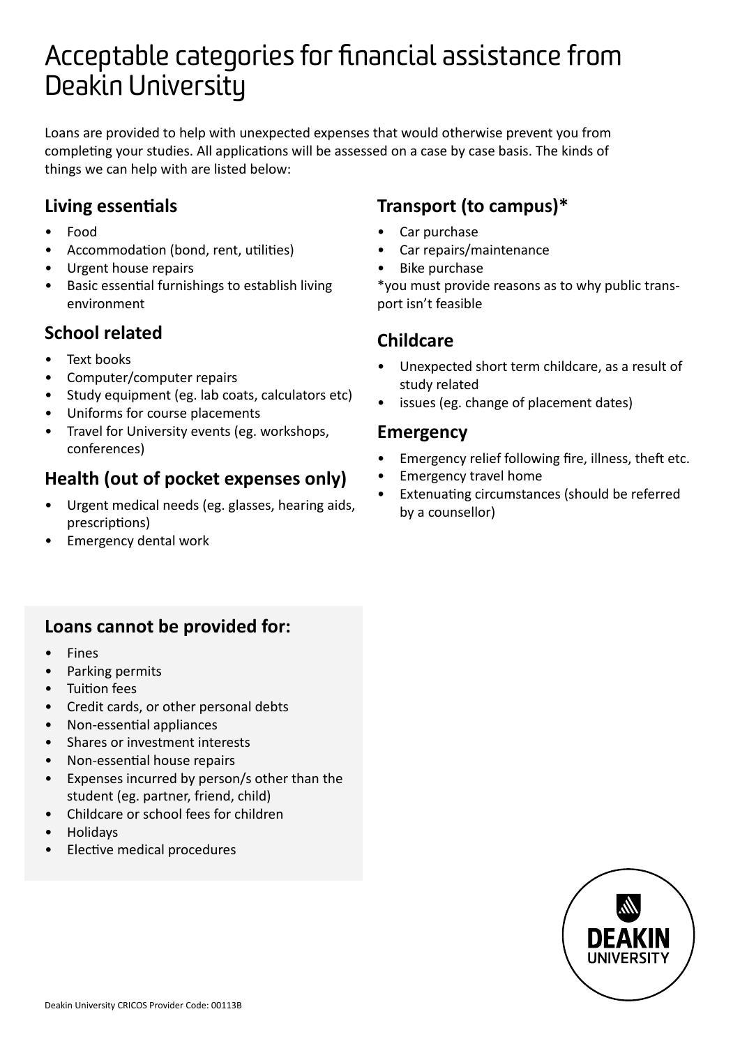## Acceptable categories for financial assistance from Deakin University

Loans are provided to help with unexpected expenses that would otherwise prevent you from completing your studies. All applications will be assessed on a case by case basis. The kinds of things we can help with are listed below:

#### **Living essentials**

- Food
- Accommodation (bond, rent, utilities)
- Urgent house repairs
- Basic essential furnishings to establish living environment

### **School related**

- Text books
- Computer/computer repairs
- Study equipment (eg. lab coats, calculators etc)
- Uniforms for course placements
- Travel for University events (eg. workshops, conferences)

### **Health (out of pocket expenses only)**

- Urgent medical needs (eg. glasses, hearing aids, prescriptions)
- Emergency dental work

### **Transport (to campus)\***

- Car purchase
- Car repairs/maintenance
- Bike purchase

\*you must provide reasons as to why public transport isn't feasible

#### **Childcare**

- Unexpected short term childcare, as a result of study related
- issues (eg. change of placement dates)

#### **Emergency**

- Emergency relief following fire, illness, theft etc.
- Emergency travel home
- Extenuating circumstances (should be referred by a counsellor)

#### **Loans cannot be provided for:**

- Fines
- Parking permits
- Tuition fees
- Credit cards, or other personal debts
- Non-essential appliances
- Shares or investment interests
- Non-essential house repairs
- Expenses incurred by person/s other than the student (eg. partner, friend, child)
- Childcare or school fees for children
- Holidays
- Elective medical procedures

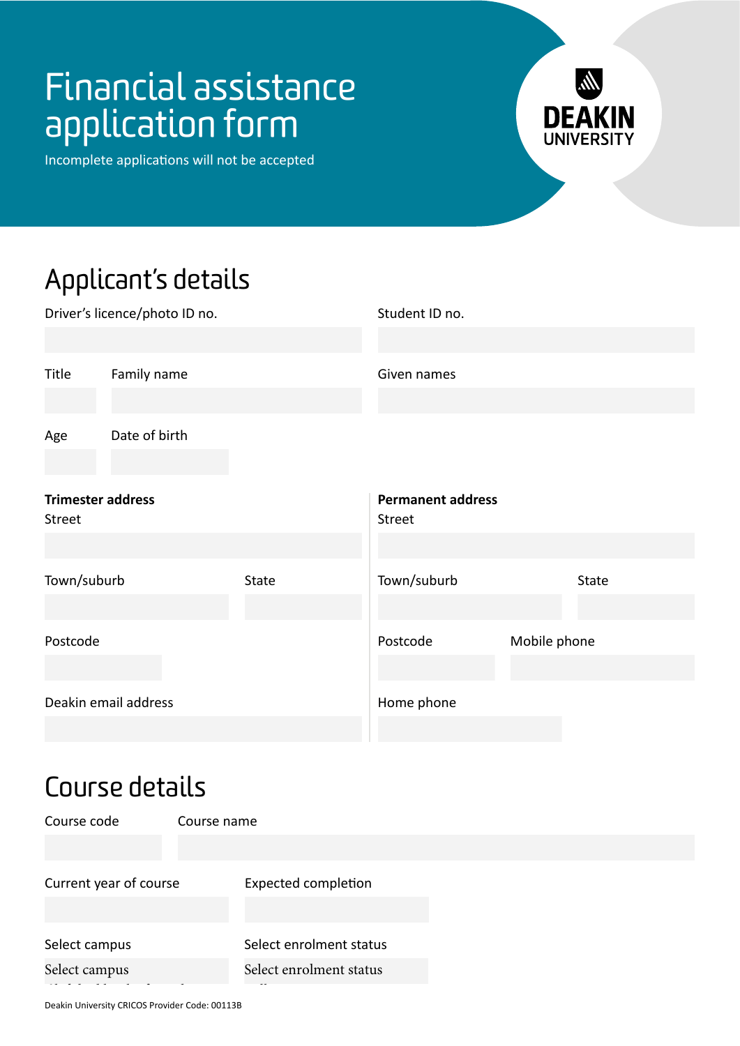Incomplete applications will not be accepted



# Applicant's details

| Driver's licence/photo ID no.      |                      |       | Student ID no.                     |              |       |  |
|------------------------------------|----------------------|-------|------------------------------------|--------------|-------|--|
| Title                              | Family name          |       | Given names                        |              |       |  |
| Age                                | Date of birth        |       |                                    |              |       |  |
| <b>Trimester address</b><br>Street |                      |       | <b>Permanent address</b><br>Street |              |       |  |
| Town/suburb                        |                      | State | Town/suburb                        |              | State |  |
| Postcode                           |                      |       | Postcode                           | Mobile phone |       |  |
|                                    | Deakin email address |       | Home phone                         |              |       |  |

## Course details

Course code Current year of course Select campus Select enrolment status Course name Expected completion Select campus Select enrolment status

Full time Part time

Deakin University CRICOS Provider Code: 00113B

Burwood Geelong - Waurn Ponds Waterfront Warrnambool Cloud campus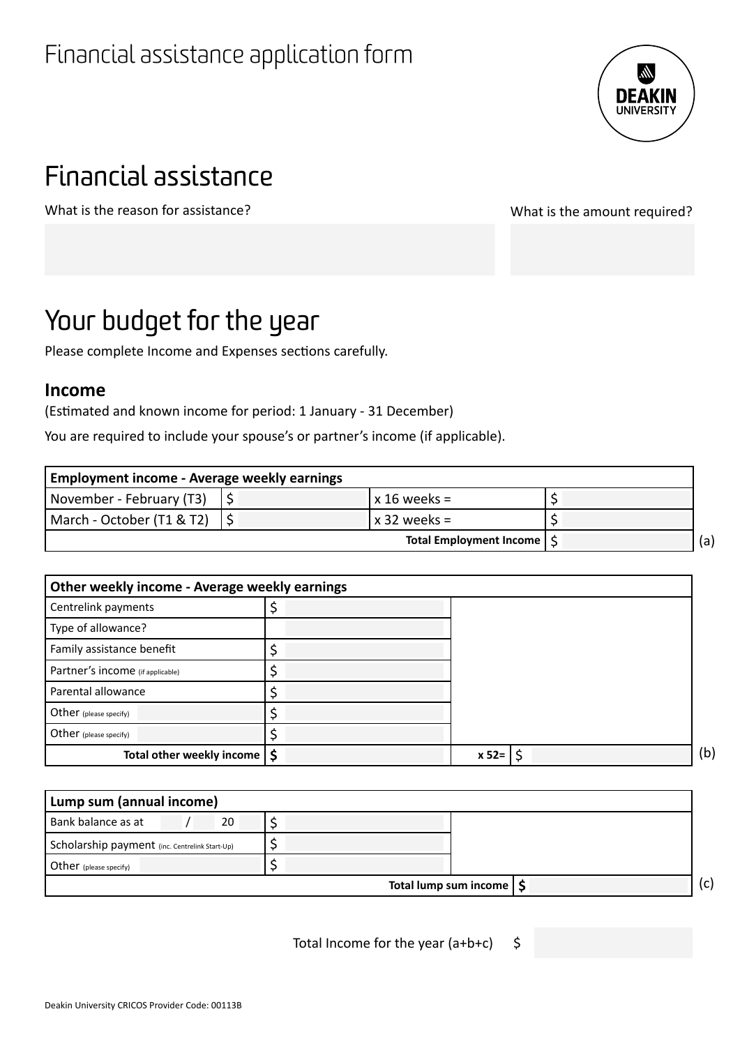

# Financial assistance

What is the reason for assistance? What is the amount required?

## Your budget for the year

Please complete Income and Expenses sections carefully.

#### **Income**

(Estimated and known income for period: 1 January - 31 December)

You are required to include your spouse's or partner's income (if applicable).

| Employment income - Average weekly earnings |  |                         |  |  |  |
|---------------------------------------------|--|-------------------------|--|--|--|
| November - February (T3)                    |  |                         |  |  |  |
| March - October (T1 & T2)                   |  | l x 32 weeks =          |  |  |  |
|                                             |  | Total Employment Income |  |  |  |

| Other weekly income - Average weekly earnings |  |         |     |
|-----------------------------------------------|--|---------|-----|
| Centrelink payments                           |  |         |     |
| Type of allowance?                            |  |         |     |
| Family assistance benefit                     |  |         |     |
| Partner's income (if applicable)              |  |         |     |
| Parental allowance                            |  |         |     |
| Other (please specify)                        |  |         |     |
| Other (please specify)                        |  |         |     |
| Total other weekly income   \$                |  | $x 52=$ | (b) |

| Lump sum (annual income)                       |  |  |     |
|------------------------------------------------|--|--|-----|
| Bank balance as at<br>20                       |  |  |     |
| Scholarship payment (inc. Centrelink Start-Up) |  |  |     |
| Other (please specify)                         |  |  |     |
| Total lump sum income   \$                     |  |  | (c) |

Total Income for the year  $(a+b+c)$  \$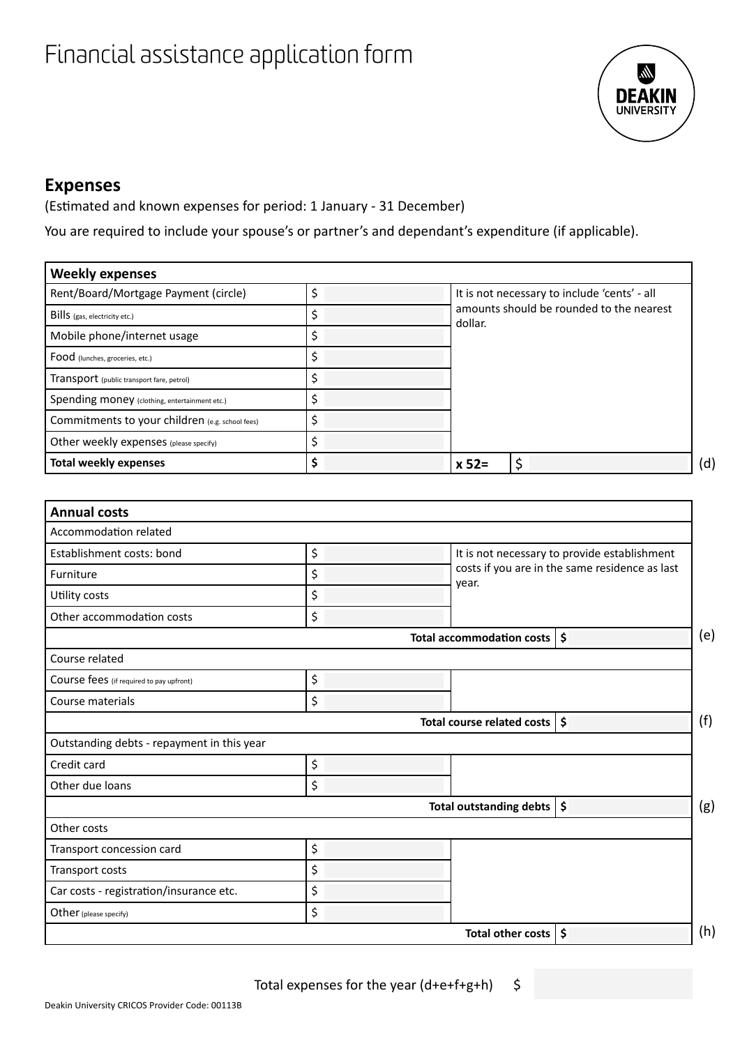

#### **Expenses**

(Estimated and known expenses for period: 1 January - 31 December)

You are required to include your spouse's or partner's and dependant's expenditure (if applicable).

| <b>Weekly expenses</b>                          |    |                                                     |
|-------------------------------------------------|----|-----------------------------------------------------|
| Rent/Board/Mortgage Payment (circle)            | Ś  | It is not necessary to include 'cents' - all        |
| BillS (gas, electricity etc.)                   | \$ | amounts should be rounded to the nearest<br>dollar. |
| Mobile phone/internet usage                     | \$ |                                                     |
| Food (lunches, groceries, etc.)                 | \$ |                                                     |
| Transport (public transport fare, petrol)       | Ś  |                                                     |
| Spending money (clothing, entertainment etc.)   | \$ |                                                     |
| Commitments to your children (e.g. school fees) | Ś  |                                                     |
| Other weekly expenses (please specify)          | \$ |                                                     |
| <b>Total weekly expenses</b>                    | Ś  | \$<br>$x 52 =$                                      |

| <b>Annual costs</b>                        |                                          |                                                |     |
|--------------------------------------------|------------------------------------------|------------------------------------------------|-----|
| Accommodation related                      |                                          |                                                |     |
| Establishment costs: bond                  | \$                                       | It is not necessary to provide establishment   |     |
| Furniture                                  | \$                                       | costs if you are in the same residence as last |     |
| Utility costs                              | \$                                       | year.                                          |     |
| Other accommodation costs                  | \$                                       |                                                |     |
|                                            | Total accommodation costs   \$           |                                                | (e) |
| Course related                             |                                          |                                                |     |
| Course fees (if required to pay upfront)   | \$                                       |                                                |     |
| Course materials                           | \$                                       |                                                |     |
|                                            | Total course related costs $\frac{1}{5}$ |                                                | (f) |
| Outstanding debts - repayment in this year |                                          |                                                |     |
| Credit card                                | \$                                       |                                                |     |
| Other due loans                            | \$                                       |                                                |     |
|                                            | Total outstanding debts $\frac{1}{5}$    |                                                | (g) |
| Other costs                                |                                          |                                                |     |
| Transport concession card                  | \$                                       |                                                |     |
| Transport costs                            | \$                                       |                                                |     |
| Car costs - registration/insurance etc.    | \$                                       |                                                |     |
| Other (please specify)                     | \$                                       |                                                |     |
|                                            | Total other costs $  \boldsymbol{\xi}  $ |                                                | (h) |

Total expenses for the year  $(d+e+f+g+h)$  \$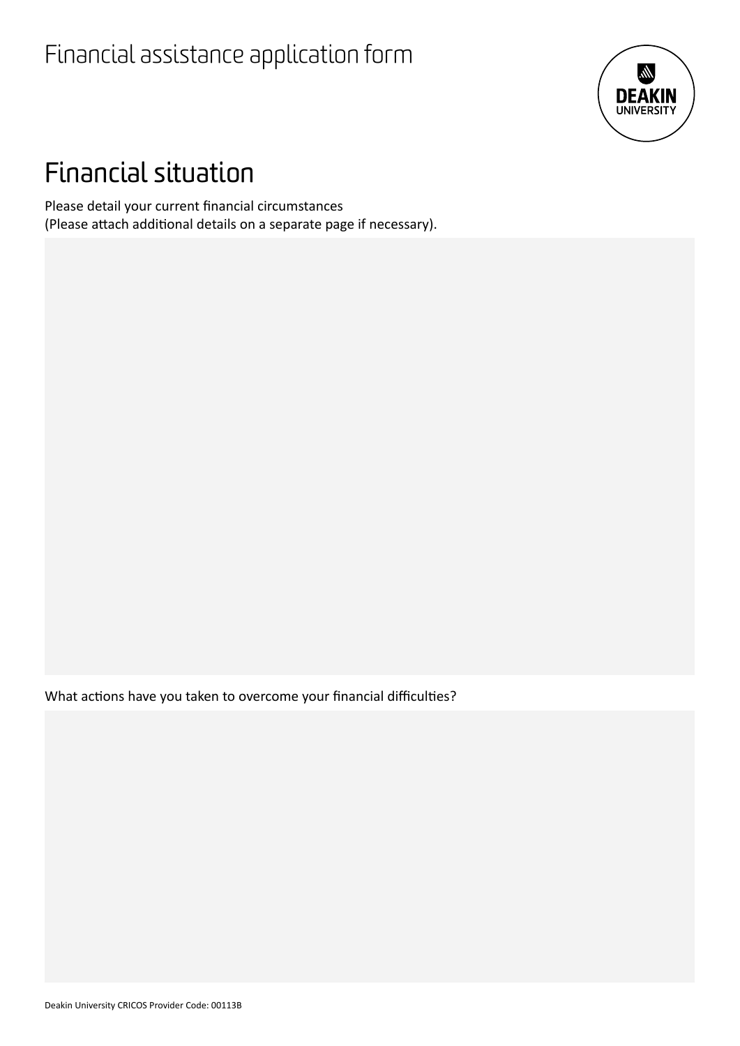

## Financial situation

Please detail your current financial circumstances (Please attach additional details on a separate page if necessary).

What actions have you taken to overcome your financial difficulties?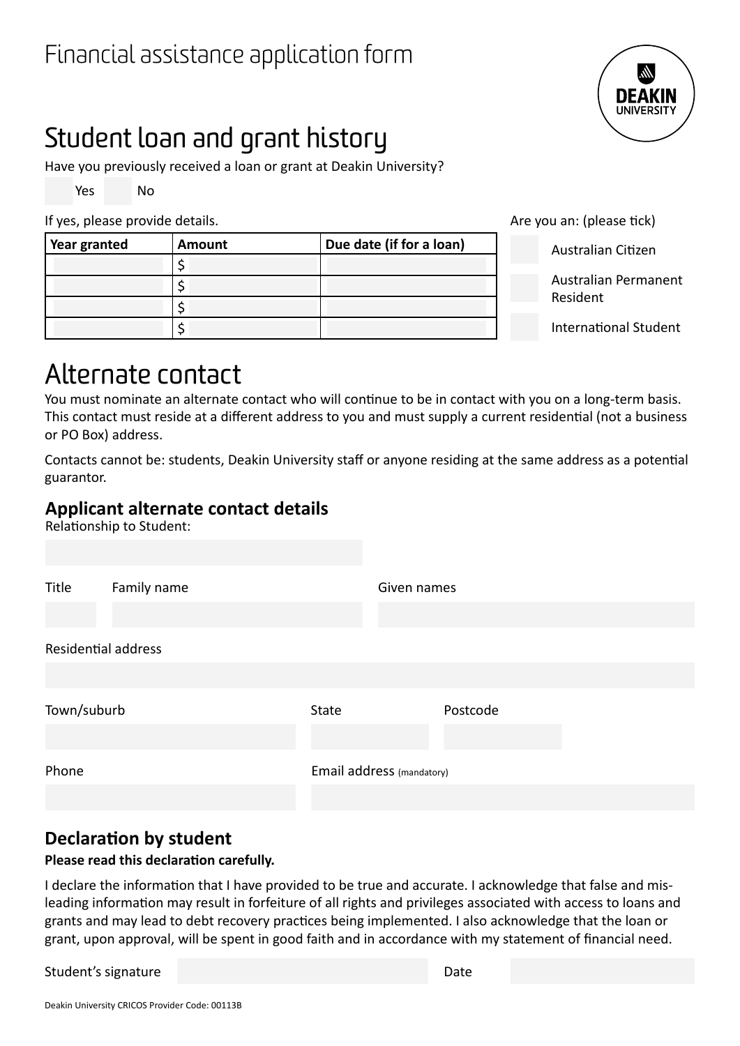# Student loan and grant history

Have you previously received a loan or grant at Deakin University?

Yes No

If yes, please provide details. Are you an: (please tick)

| Year granted | <b>Amount</b> | Due date (if for a loan) |
|--------------|---------------|--------------------------|
|              |               |                          |
|              |               |                          |
|              |               |                          |
|              |               |                          |

Australian Citizen

Australian Permanent Resident

International Student

## Alternate contact

You must nominate an alternate contact who will continue to be in contact with you on a long-term basis. This contact must reside at a different address to you and must supply a current residential (not a business or PO Box) address.

Contacts cannot be: students, Deakin University staff or anyone residing at the same address as a potential guarantor.

### **Applicant alternate contact details**

Relationship to Student:

| Residential address                     |  |
|-----------------------------------------|--|
|                                         |  |
| Town/suburb<br>Postcode<br><b>State</b> |  |
| Email address (mandatory)<br>Phone      |  |

### **Declaration by student**

#### **Please read this declaration carefully.**

I declare the information that I have provided to be true and accurate. I acknowledge that false and misleading information may result in forfeiture of all rights and privileges associated with access to loans and grants and may lead to debt recovery practices being implemented. I also acknowledge that the loan or grant, upon approval, will be spent in good faith and in accordance with my statement of financial need.

Student's signature Date Date of the Date Date Date Date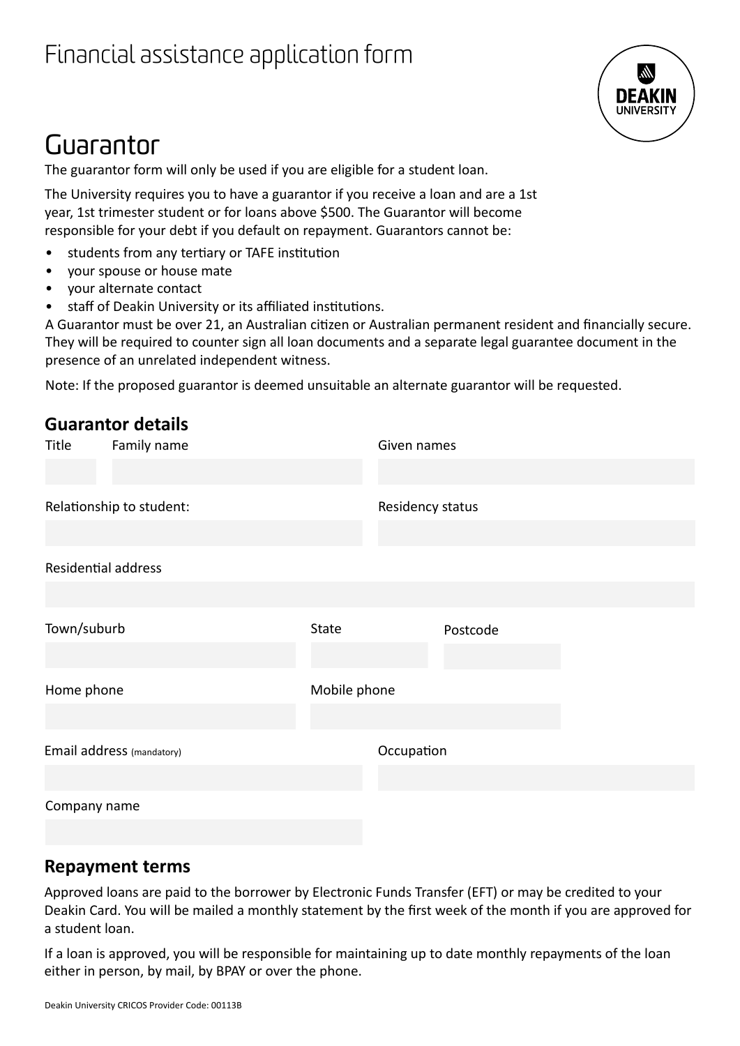

## Guarantor

The guarantor form will only be used if you are eligible for a student loan.

The University requires you to have a guarantor if you receive a loan and are a 1st year, 1st trimester student or for loans above \$500. The Guarantor will become responsible for your debt if you default on repayment. Guarantors cannot be:

- students from any tertiary or TAFE institution
- your spouse or house mate
- your alternate contact
- staff of Deakin University or its affiliated institutions.

A Guarantor must be over 21, an Australian citizen or Australian permanent resident and financially secure. They will be required to counter sign all loan documents and a separate legal guarantee document in the presence of an unrelated independent witness.

Note: If the proposed guarantor is deemed unsuitable an alternate guarantor will be requested.

|                            | <b>Guarantor details</b> |              |                  |          |  |  |
|----------------------------|--------------------------|--------------|------------------|----------|--|--|
| Title                      | Family name              | Given names  |                  |          |  |  |
|                            |                          |              |                  |          |  |  |
| Relationship to student:   |                          |              | Residency status |          |  |  |
|                            |                          |              |                  |          |  |  |
| <b>Residential address</b> |                          |              |                  |          |  |  |
|                            |                          |              |                  |          |  |  |
| Town/suburb                |                          | State        |                  | Postcode |  |  |
|                            |                          |              |                  |          |  |  |
| Home phone                 |                          | Mobile phone |                  |          |  |  |
|                            |                          |              |                  |          |  |  |
| Email address (mandatory)  |                          | Occupation   |                  |          |  |  |
|                            |                          |              |                  |          |  |  |
| Company name               |                          |              |                  |          |  |  |
|                            |                          |              |                  |          |  |  |

#### **Repayment terms**

Approved loans are paid to the borrower by Electronic Funds Transfer (EFT) or may be credited to your Deakin Card. You will be mailed a monthly statement by the first week of the month if you are approved for a student loan.

If a loan is approved, you will be responsible for maintaining up to date monthly repayments of the loan either in person, by mail, by BPAY or over the phone.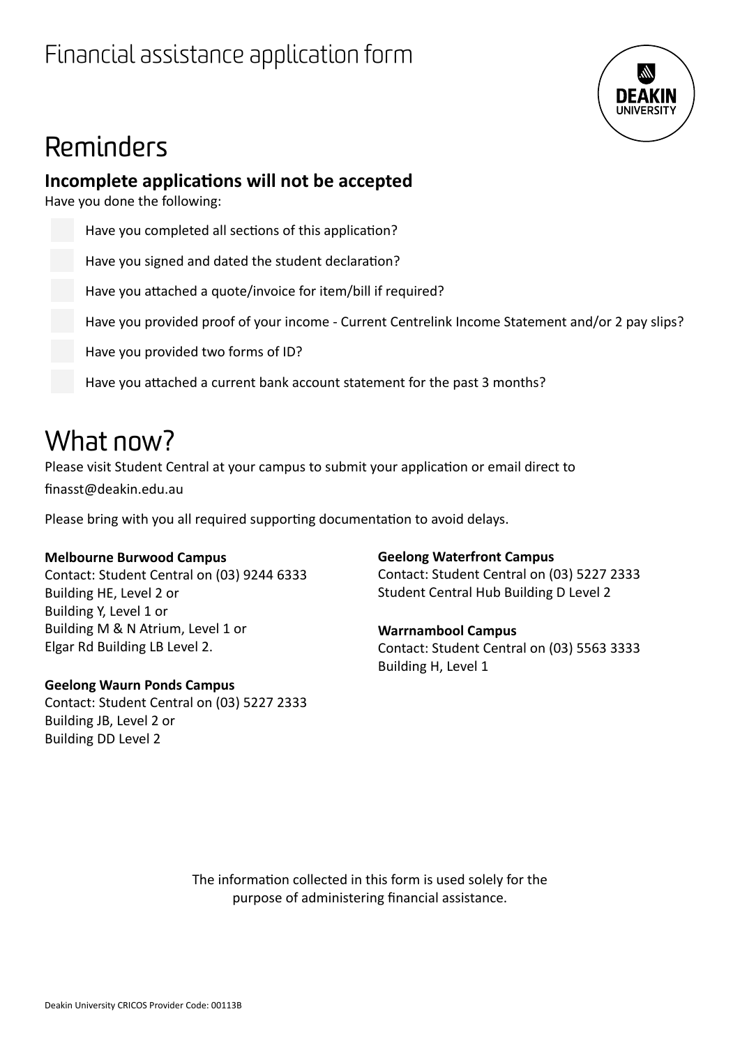

# Reminders

#### **Incomplete applications will not be accepted**

Have you done the following:

Have you completed all sections of this application?

Have you signed and dated the student declaration?

Have you attached a quote/invoice for item/bill if required?

Have you provided proof of your income - Current Centrelink Income Statement and/or 2 pay slips?

Have you provided two forms of ID?

Have you attached a current bank account statement for the past 3 months?

## What now?

Please visit Student Central at your campus to submit your application or email direct to finasst@deakin.edu.au

Please bring with you all required supporting documentation to avoid delays.

#### **Melbourne Burwood Campus**

Contact: Student Central on (03) 9244 6333 Building HE, Level 2 or Building Y, Level 1 or Building M & N Atrium, Level 1 or Elgar Rd Building LB Level 2.

#### **Geelong Waurn Ponds Campus**

Contact: Student Central on (03) 5227 2333 Building JB, Level 2 or Building DD Level 2

#### **Geelong Waterfront Campus**

Contact: Student Central on (03) 5227 2333 Student Central Hub Building D Level 2

#### **Warrnambool Campus**

Contact: Student Central on (03) 5563 3333 Building H, Level 1

The information collected in this form is used solely for the purpose of administering financial assistance.